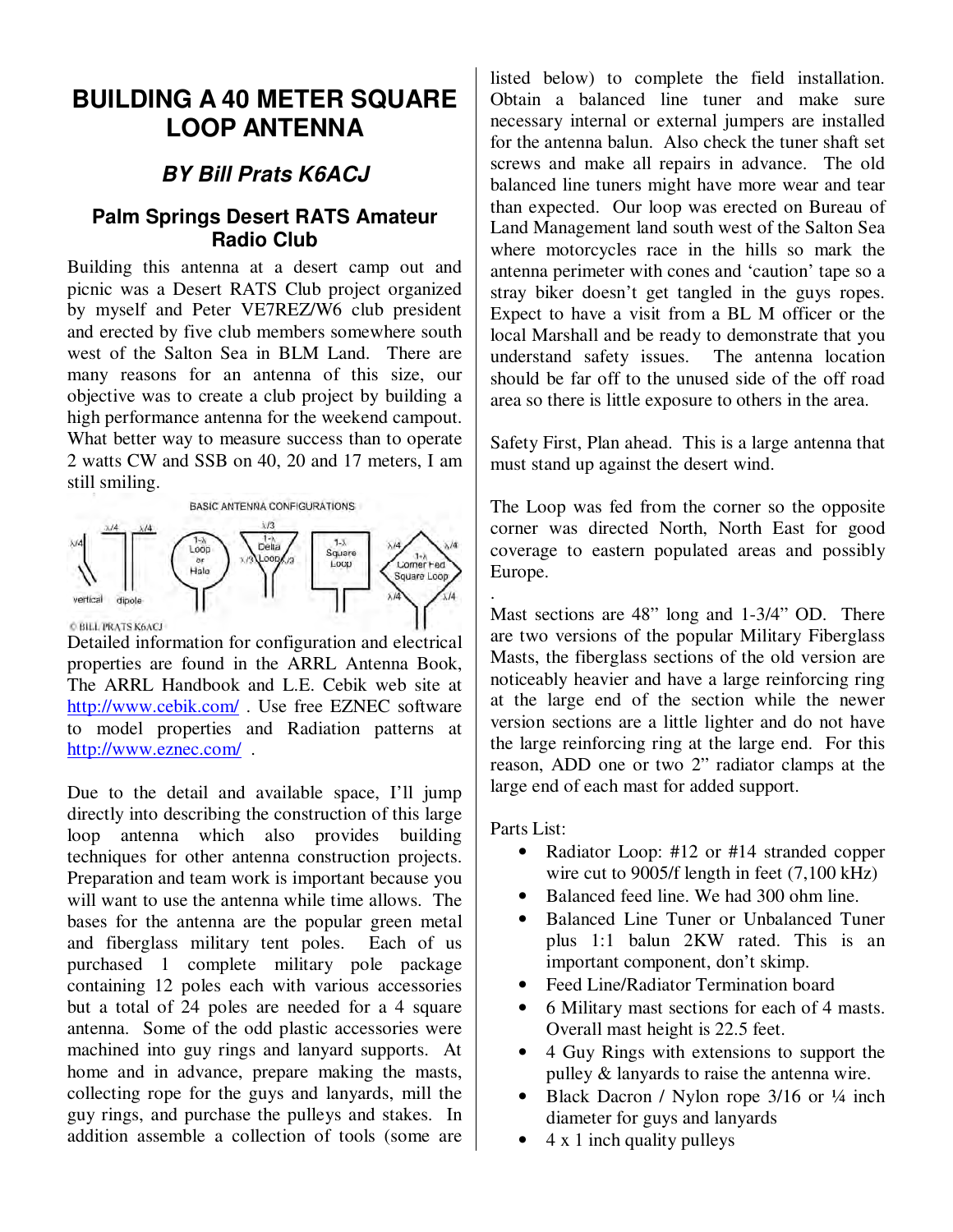## **BUILDING A 40 METER SQUARE LOOP ANTENNA**

## **BY Bill Prats K6ACJ**

## **Palm Springs Desert RATS Amateur Radio Club**

Building this antenna at a desert camp out and picnic was a Desert RATS Club project organized by myself and Peter VE7REZ/W6 club president and erected by five club members somewhere south west of the Salton Sea in BLM Land. There are many reasons for an antenna of this size, our objective was to create a club project by building a high performance antenna for the weekend campout. What better way to measure success than to operate 2 watts CW and SSB on 40, 20 and 17 meters, I am still smiling.



Detailed information for configuration and electrical properties are found in the ARRL Antenna Book, The ARRL Handbook and L.E. Cebik web site at http://www.cebik.com/ . Use free EZNEC software to model properties and Radiation patterns at http://www.eznec.com/ .

Due to the detail and available space, I'll jump directly into describing the construction of this large loop antenna which also provides building techniques for other antenna construction projects. Preparation and team work is important because you will want to use the antenna while time allows. The bases for the antenna are the popular green metal and fiberglass military tent poles. Each of us purchased 1 complete military pole package containing 12 poles each with various accessories but a total of 24 poles are needed for a 4 square antenna. Some of the odd plastic accessories were machined into guy rings and lanyard supports. At home and in advance, prepare making the masts, collecting rope for the guys and lanyards, mill the guy rings, and purchase the pulleys and stakes. In addition assemble a collection of tools (some are

listed below) to complete the field installation. Obtain a balanced line tuner and make sure necessary internal or external jumpers are installed for the antenna balun. Also check the tuner shaft set screws and make all repairs in advance. The old balanced line tuners might have more wear and tear than expected. Our loop was erected on Bureau of Land Management land south west of the Salton Sea where motorcycles race in the hills so mark the antenna perimeter with cones and 'caution' tape so a stray biker doesn't get tangled in the guys ropes. Expect to have a visit from a BL M officer or the local Marshall and be ready to demonstrate that you understand safety issues. The antenna location should be far off to the unused side of the off road area so there is little exposure to others in the area.

Safety First, Plan ahead. This is a large antenna that must stand up against the desert wind.

The Loop was fed from the corner so the opposite corner was directed North, North East for good coverage to eastern populated areas and possibly Europe.

Mast sections are 48" long and 1-3/4" OD. There are two versions of the popular Military Fiberglass Masts, the fiberglass sections of the old version are noticeably heavier and have a large reinforcing ring at the large end of the section while the newer version sections are a little lighter and do not have the large reinforcing ring at the large end. For this reason, ADD one or two 2" radiator clamps at the large end of each mast for added support.

Parts List:

.

- Radiator Loop: #12 or #14 stranded copper wire cut to 9005/f length in feet (7,100 kHz)
- Balanced feed line. We had 300 ohm line.
- Balanced Line Tuner or Unbalanced Tuner plus 1:1 balun 2KW rated. This is an important component, don't skimp.
- Feed Line/Radiator Termination board
- 6 Military mast sections for each of 4 masts. Overall mast height is 22.5 feet.
- 4 Guy Rings with extensions to support the pulley & lanyards to raise the antenna wire.
- Black Dacron / Nylon rope 3/16 or  $\frac{1}{4}$  inch diameter for guys and lanyards
- $\bullet$  4 x 1 inch quality pulleys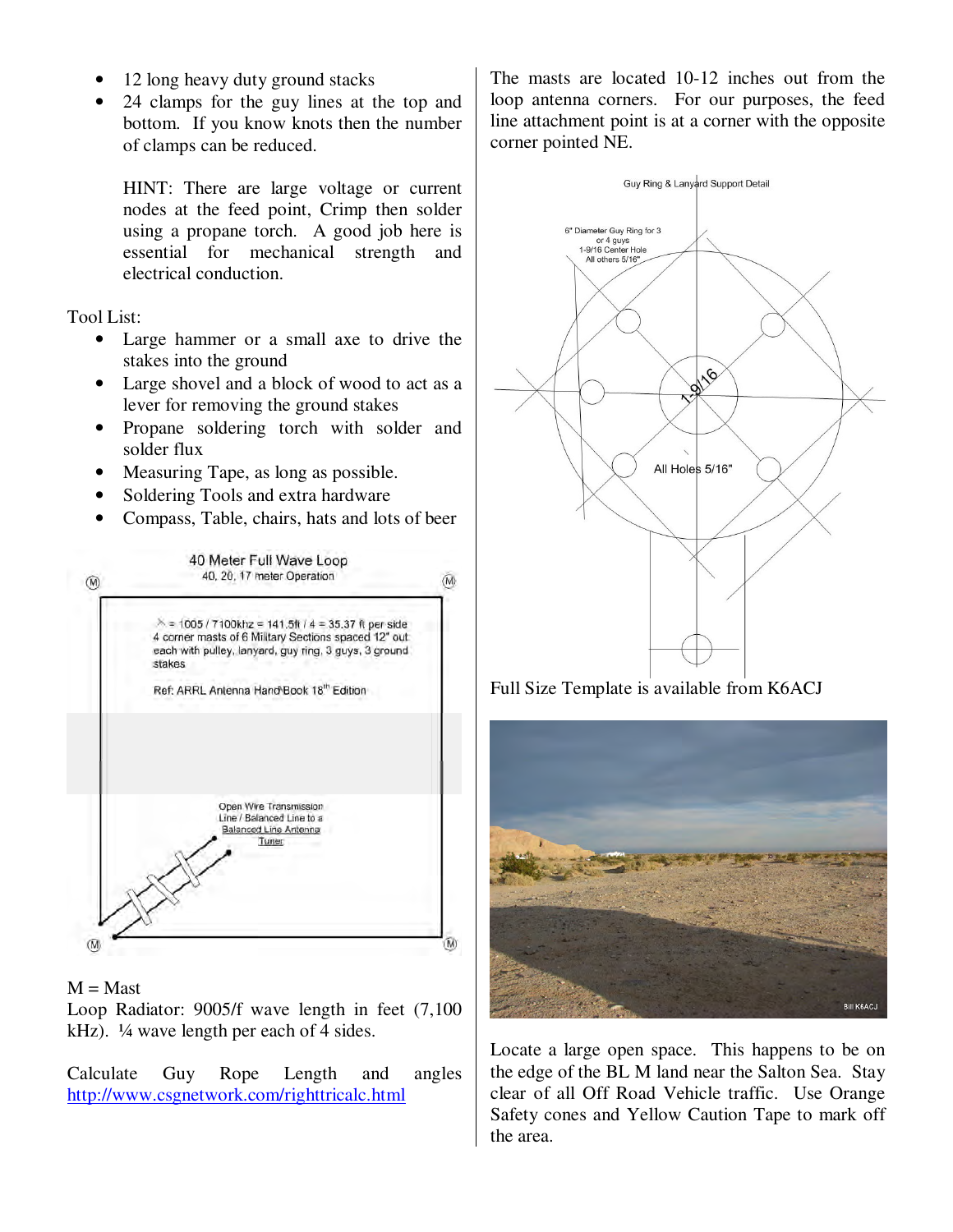- 12 long heavy duty ground stacks
- 24 clamps for the guy lines at the top and bottom. If you know knots then the number of clamps can be reduced.

HINT: There are large voltage or current nodes at the feed point, Crimp then solder using a propane torch. A good job here is essential for mechanical strength and electrical conduction.

Tool List:

- Large hammer or a small axe to drive the stakes into the ground
- Large shovel and a block of wood to act as a lever for removing the ground stakes
- Propane soldering torch with solder and solder flux
- Measuring Tape, as long as possible.
- Soldering Tools and extra hardware
- Compass, Table, chairs, hats and lots of beer



## $M =$ Mast

Loop Radiator: 9005/f wave length in feet (7,100 kHz). ¼ wave length per each of 4 sides.

Calculate Guy Rope Length and angles http://www.csgnetwork.com/righttricalc.html

The masts are located 10-12 inches out from the loop antenna corners. For our purposes, the feed line attachment point is at a corner with the opposite corner pointed NE.



Full Size Template is available from K6ACJ



Locate a large open space. This happens to be on the edge of the BL M land near the Salton Sea. Stay clear of all Off Road Vehicle traffic. Use Orange Safety cones and Yellow Caution Tape to mark off the area.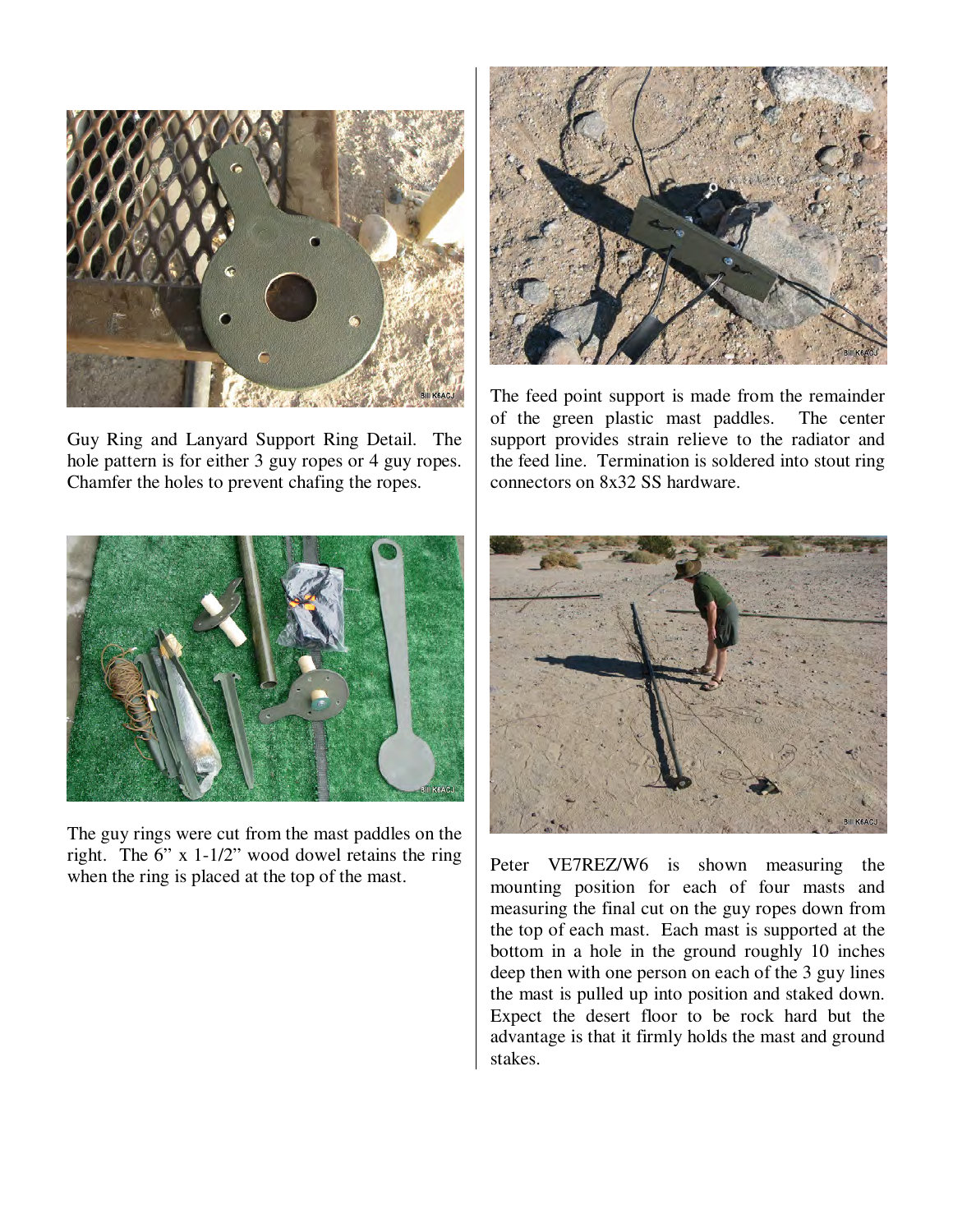

Guy Ring and Lanyard Support Ring Detail. The hole pattern is for either 3 guy ropes or 4 guy ropes. Chamfer the holes to prevent chafing the ropes.



The guy rings were cut from the mast paddles on the right. The 6" x 1-1/2" wood dowel retains the ring when the ring is placed at the top of the mast.



The feed point support is made from the remainder of the green plastic mast paddles. The center support provides strain relieve to the radiator and the feed line. Termination is soldered into stout ring connectors on 8x32 SS hardware.



Peter VE7REZ/W6 is shown measuring the mounting position for each of four masts and measuring the final cut on the guy ropes down from the top of each mast. Each mast is supported at the bottom in a hole in the ground roughly 10 inches deep then with one person on each of the 3 guy lines the mast is pulled up into position and staked down. Expect the desert floor to be rock hard but the advantage is that it firmly holds the mast and ground stakes.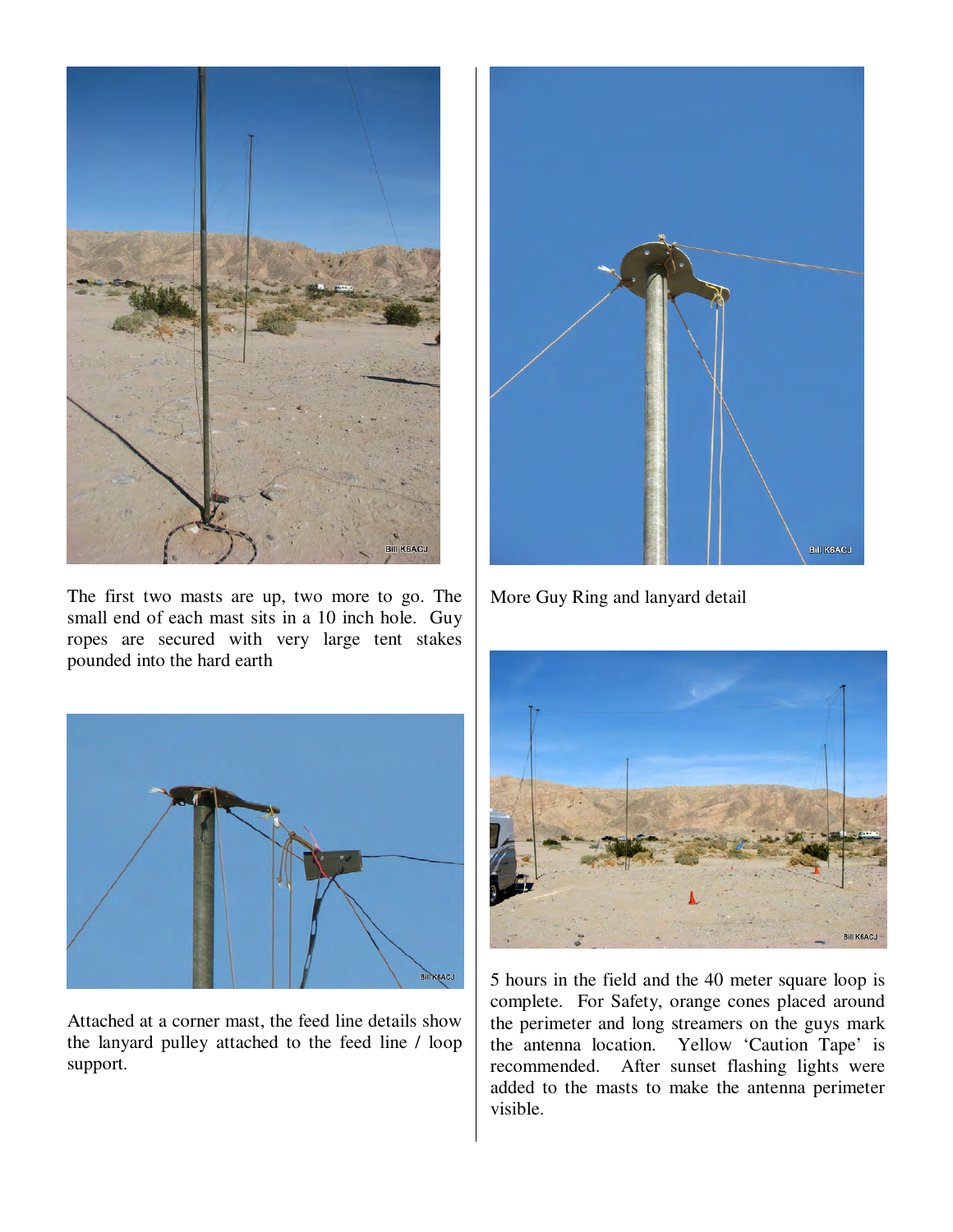

The first two masts are up, two more to go. The small end of each mast sits in a 10 inch hole. Guy ropes are secured with very large tent stakes pounded into the hard earth



Attached at a corner mast, the feed line details show the lanyard pulley attached to the feed line / loop support.



More Guy Ring and lanyard detail



5 hours in the field and the 40 meter square loop is complete. For Safety, orange cones placed around the perimeter and long streamers on the guys mark the antenna location. Yellow 'Caution Tape' is recommended. After sunset flashing lights were added to the masts to make the antenna perimeter visible.